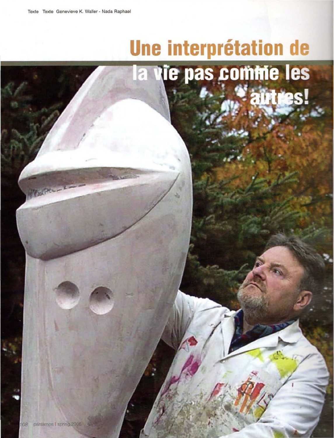## Une interprétation de la vie pas comme les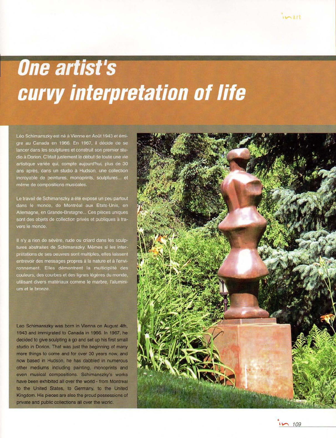## **One artist's Curvy interpretation of life**

Léo Schimanszky est né à Vienne en Août 1943 et émigre au Canada en 1966. En 1967, il décide de se lancer dans les sculptures et construit son premier studio à Dorion. C'était justement le début de toute une vie artistique variée qui, compte aujourd'hui, plus de 30 ans après, dans un studio à Hudson, une collection incroyable de peintures, monoprints, sculptures... et même de compositions musicales.

Le travail de Schimanszky a été exposé un peu partout dans le monde, de Montréal aux Etats-Unis, en Allemagne, en Grande-Bretagne... Ces pièces uniques sont des objets de collection privés et publiques à travers le monde.

Il n'y a rien de sévère, rude ou criard dans les sculptures abstraites de Schimanszky. Mêmes si les interprétations de ses oeuvres sont multiples, elles laissent entrevoir des messages propres à la nature et à l'environnement. Elles démontrent la multiciplité des couleurs, des courbes et des lignes légères du monde, utilisant divers matériaux comme le marbre, l'aluminium et le bronze.

Leo Schimanszky was born in Vienna on August 4th, 1943 and immigrated to Canada in 1966. In 1967, he decided to give sculpting a go and set up his first small studio in Dorion. That was just the beginning of many more things to come and for over 30 years now, and now based in Hudson, he has dabbled in numerous other mediums including painting, monoprints and even musical compositions. Schimanszky's works have been exhibited all over the world - from Montreal to the United States, to Germany, to the United Kingdom. His pieces are also the proud possessions of private and public collections all over the world.



109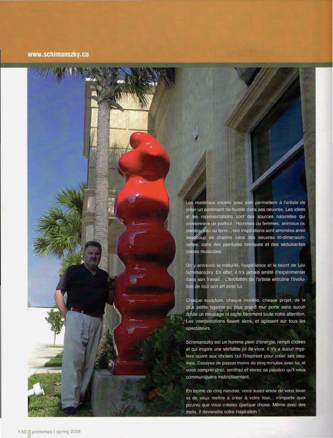## www.schimanszky.ca

Les matériaux choisis avec soin permettent à l'artiste de créer un sentiment de fluidité dans ses oeuvres. Les idées et les représentations sont des sources naturelles qui proviennent de partout : Hommes ou femmes, animaux ou plantes, eau ou terre... ces inspirations sont amenées avec beaucoup de charme dans des oeuvres tri-dimensionnelles, dans des peintures oniriques et des séduisantes pièces musicales.

On y entrevoit la maturité, l'expérience et le talent de Léo Schimanszky. En effet, il n'a jamais arrêté d'expérimenter dans son travail... L'évolution de l'artiste entraîne l'évolution de tout son art avec lui.

Chaque sculpture, chaque modèle, chaque projet, de la plus petite figurine au plus grand mur porte sans aucun doute un message et capte fièrement toute notre attention. Les interprétations fusent alors, et agissent sur tous les spectateurs.

Schimanszky est un homme plein d'énergie, rempli d'idées et qui inspire une véritable joi de vivre. Il n'y a aucun mystère quant aux choses qui l'inspirent pour créer ses oeuvres. Essayez de passer moins de cinq minutes avec lui, et vous comprendrez, sentirez et vivrez sa passion qu'il vous communiquera instinctivement.

En moins de cinq minutes, vous aurez envie de vous lever et de vous mettre à créer à votre tour... n'importe quoi pourvu que vous créeiez quelque chose. Même avec des mots, il deviendra votre inspiration !